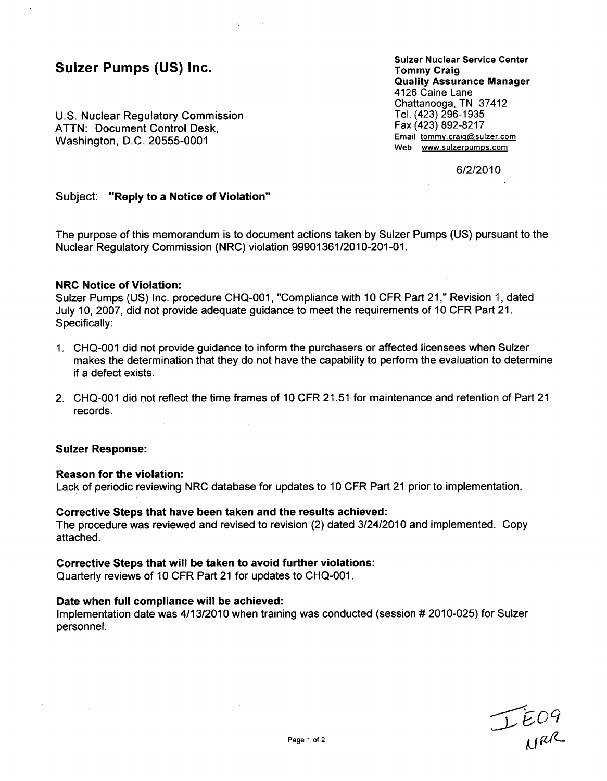### Sulzer Pumps **(US)** Inc.

U.S. Nuclear Regulatory Commission ATTN: Document Control Desk, Washington, D.C. 20555-0001

Sulzer Nuclear Service Center Tommy Craig Quality Assurance Manager 4126 Caine Lane Chattanooga, TN 37412 Tel. (423) 296-1935 Fax (423) 892-8217 Email tommy.craig@sulzer.com Web www.sulzerpumps.com

**6/2/2010**

#### Subject: "Reply to a Notice of Violation"

The purpose of this memorandum is to document actions taken by Sulzer Pumps (US) pursuant to the Nuclear Regulatory Commission (NRC) violation 99901361/2010-201-01.

#### NRC Notice of Violation:

Sulzer Pumps (US) Inc. procedure CHQ-001, "Compliance with 10 CFR Part 21," Revision 1, dated July 10, 2007, did not provide adequate guidance to meet the requirements of 10 CFR Part 21. Specifically:

- 1. CHQ-001 did not provide guidance to inform the purchasers or affected licensees when Sulzer makes the determination that they do not have the capability to perform the evaluation to determine if a defect exists.
- 2. CHQ-001 did not reflect the time frames of 10 CFR 21.51 for maintenance and retention of Part 21 records.

#### Sulzer Response:

#### Reason for the violation:

Lack of periodic reviewing NRC database for updates to 10 CFR Part 21 prior to implementation.

#### Corrective Steps that have been taken and the results achieved:

The procedure was reviewed and revised to revision (2) dated 3/24/2010 and implemented. Copy attached.

#### Corrective Steps that will be taken to avoid further violations:

Quarterly reviews of 10 CFR Part 21 for updates to CHQ-001.

#### Date when full compliance will be achieved:

Implementation date was 4/13/2010 when training was conducted (session # 2010-025) for Sulzer personnel.

IEO9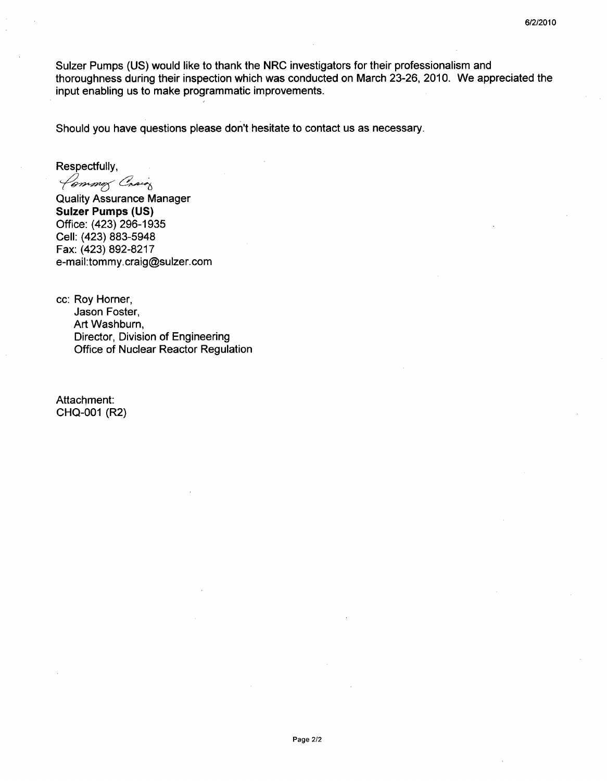Sulzer Pumps (US) would like to thank the NRC investigators for their professionalism and thoroughness during their inspection which was conducted on March 23-26, 2010. We appreciated the input enabling us to make programmatic improvements.

Should you have questions please don't hesitate to contact us as necessary.

Respectfully,

Common Craig

Quality Assurance Manager Sulzer Pumps **(US)** Office: (423) 296-1935 Cell: (423) 883-5948 Fax: (423) 892-8217 e-mail:tommy.craig@sulzer.com

cc: Roy Horner, Jason Foster, Art Washburn, Director, Division of Engineering Office of Nuclear Reactor Regulation

Attachment: CHQ-001 (R2)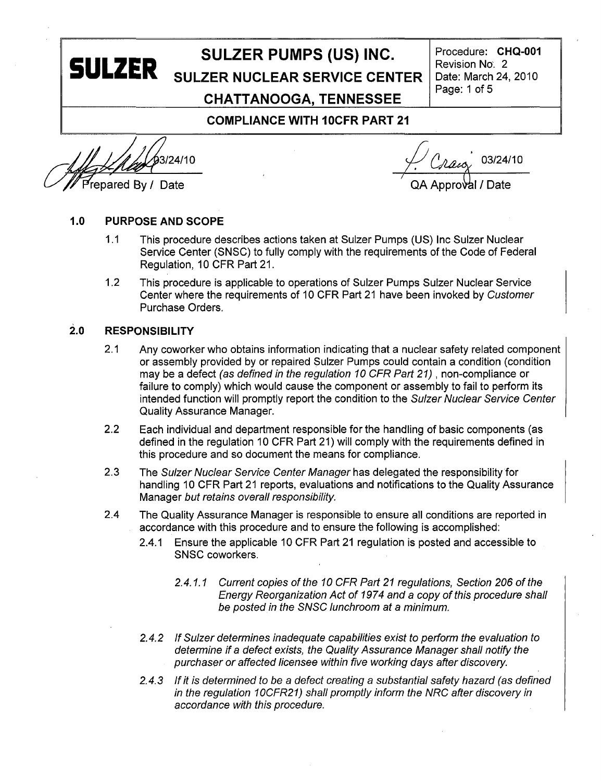# **SULZER PUMPS (US) INC.** Procedure: CHQ-001<br>**SULZER** SULZER NUCLEAR SERVICE CENTER Date: March 24, 2010 **SULZER NUCLEAR SERVICE CENTER** | Date: March 24, 2010<br>Page: 1 of 5 **CHATTANOOGA, TENNESSEE** Page: **1** of **<sup>5</sup> COMPLIANCE** WITH 10CFR PART 21

 $3/24/10$  03/24/10

<sup>r</sup>epared By / Date *Decision COA Approval / Date* 

#### **1.0 PURPOSE AND SCOPE**

- 1.1 This procedure describes actions taken at Sulzer Pumps (US) Inc Sulzer Nuclear Service Center (SNSC) to fully comply with the requirements of the Code of Federal Regulation, 10 CFR Part 21.
- 1.2 This procedure is applicable to operations of Sulzer Pumps Sulzer Nuclear Service Center where the requirements of 10 CFR Part 21 have been invoked by *Customer* Purchase Orders.

#### **2.0** RESPONSIBILITY

- 2.1 Any coworker who obtains information indicating that a nuclear safety related component or assembly provided by or repaired Sulzer Pumps could contain a condition (condition may be a defect (as *defined in the regulation 10 CFR Part 21),* non-compliance or failure to comply) which would cause the component or assembly to fail to perform its intended function will promptly report the condition to the *Sulzer Nuclear Service Center* Quality Assurance Manager.
- 2.2 Each individual and department responsible for the handling of basic components (as defined in the regulation 10 CFR Part 21) will comply with the requirements defined in this procedure and so document the means for compliance.
- 2.3 The *Sulzer Nuclear Service Center Manager* has delegated the responsibility for handling 10 CFR Part 21 reports, evaluations and notifications to the Quality Assurance Manager *but retains overall responsibility.*
- 2.4 The Quality Assurance Manager is responsible to ensure all conditions are reported in accordance with this procedure and to ensure the following is accomplished:
	- 2.4.1 Ensure the applicable 10 CFR Part 21 regulation is posted and accessible to SNSC coworkers.
		- 2.4.1.1 Current copies of the 10 CFR Part 21 regulations, Section 206 of the *Energy Reorganization Act of 1974 and a copy of this procedure shall be posted in the SNSC lunchroom at a minimum.*
	- *2.4.2 If Sulzer determines inadequate capabilities exist to perform the evaluation to determine if a defect exists, the Quality Assurance Manager shall notify the purchaser or affected licensee within five working days after discovery.*
	- *2.4.3 If it is determined to be a defect creating a substantial safety hazard (as defined in the regulation 1OCFR21) shall promptly inform the NRC after discovery in accordance with this procedure.*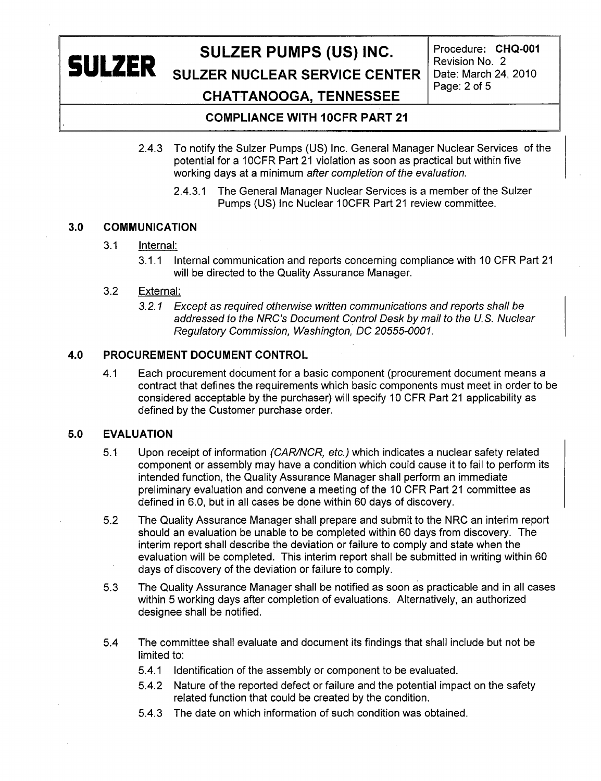# **SULZER PUMPS (US) INC.** Procedure: CHQ-001<br>Revision No. 2

**SULZER** SULZER NUCLEAR SERVICE CENTER Date: March 24, 2010 Page: 2 of **5**

### **CHATTANOOGA, TENNESSEE**

#### **COMPLIANCE** WITH **IOCFR** PART 21

- 2.4.3 To notify the Sulzer Pumps (US) Inc. General Manager Nuclear Services of the potential for a 10CFR Part 21 violation as soon as practical but within five working days at a minimum *after completion of the evaluation.*
	- 2.4.3.1 The General Manager Nuclear Services is a member of the Sulzer Pumps (US) Inc Nuclear 1OCFR Part 21 review committee.

#### **3.0 COMMUNICATION**

#### 3.1 Internal:

3.1.1 Internal communication and reports concerning compliance with 10 CFR Part 21 will be directed to the Quality Assurance Manager.

#### 3.2 External:

*3.2. 1 Except as required otherwise written communications and reports shall be addressed to the NRC's Document Control Desk by mail to the U.S. Nuclear Regulatory Commission, Washington, DC 20555-0001.*

#### 4.0 PROCUREMENT **DOCUMENT** CONTROL

4.1 Each procurement document for a basic component (procurement document means a contract that defines the requirements which basic components must meet in order to be considered acceptable by the purchaser) will specify 10 CFR Part 21 applicability as defined by the Customer purchase order.

#### **5.0 EVALUATION**

- 5.1 Upon receipt of information (CAR/NCR, etc.) which indicates a nuclear safety related component or assembly may have a condition which could cause it to fail to perform its intended function, the Quality Assurance Manager shall perform an immediate preliminary evaluation and convene a meeting of the 10 CFR Part 21 committee as defined in 6.0, but in all cases be done within 60 days of discovery.
- 5.2 The Quality Assurance Manager shall prepare and submit to the NRC an interim report should an evaluation be unable to be completed within 60 days from discovery. The interim report shall describe the deviation or failure to comply and state when the evaluation will be completed. This interim report shall be submitted in writing within 60 days of discovery of the deviation or failure to comply.
- 5.3 The Quality Assurance Manager shall be notified as soon as practicable and in all cases within 5 working days after completion of evaluations. Alternatively, an authorized designee shall be notified.
- 5.4 The committee shall evaluate and document its findings that shall include but not be limited to:
	- 5.4.1 Identification of the assembly or component to be evaluated.
	- 5.4.2 Nature of the reported defect or failure and the potential impact on the safety related function that could be created by the condition.
	- 5.4.3 The date on which information of such condition was obtained.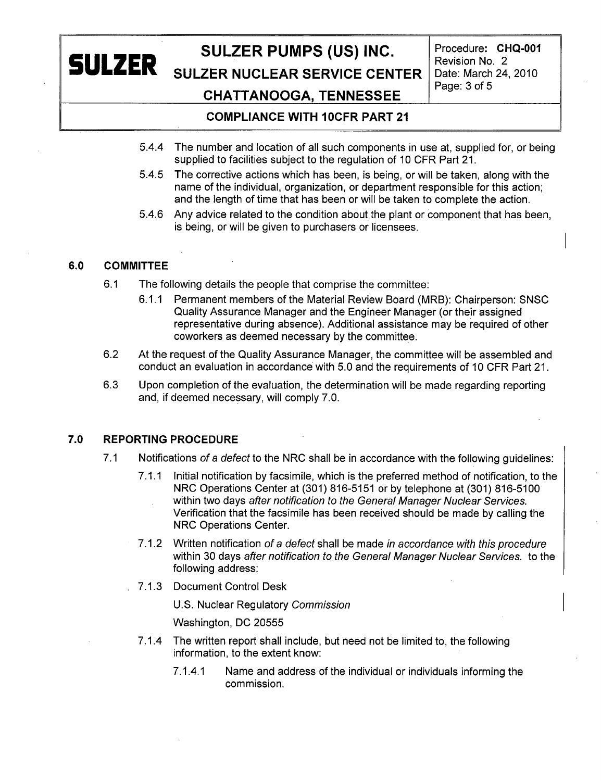# **SULZER**

# SULZER PUMPS (US) INC. Procedure: CHQ-001

**SULZER NUCLEAR SERVICE CENTER** 

Revision No. 2<br>Date: March 24, 2010

# **CHATTANOOGA, TENNESSEE** Page: **3** of **<sup>5</sup>**

#### **COMPLIANCE** WITH 10CFR PART 21

- 5.4.4 The number and location of all such components in use at, supplied for, or being supplied to facilities subject to the regulation of 10 CFR Part 21.
- 5.4.5 The corrective actions which has been, is being, or will be taken, along with the name of the individual, organization, or department responsible for this action; and the length of time that has been or will be taken to complete the action.
- 5.4.6 Any advice related to the condition about the plant or component that has been, is being, or will be given to purchasers or licensees.

#### 6.0 COMMITTEE

- 6.1 The following details the people that comprise the committee:
	- 6.1.1 Permanent members of the Material Review Board (MRB): Chairperson: SNSC Quality Assurance Manager and the Engineer Manager (or their assigned representative during absence). Additional assistance may be required of other coworkers as deemed necessary by the committee.
- 6.2 At the request of the Quality Assurance Manager, the committee will be assembled and conduct an evaluation in accordance with 5.0 and the requirements of 10 CFR Part 21.
- 6.3 Upon completion of the evaluation, the determination will be made regarding reporting and, if deemed necessary, will comply 7.0.

#### **7.0** REPORTING PROCEDURE

- 7.1 Notifications *of a defect* to the NRC shall be in accordance with the following guidelines:
	- 7.1.1 Initial notification by facsimile, which is the preferred method of notification, to the NRC Operations Center at (301) 816-5151 or by telephone at (301) 816-5100 within two days *after notification to the General Manager Nuclear Services.* Verification that the facsimile has been received should be made by calling the NRC Operations Center.
	- 7.1.2 Written notification *of a defect* shall be made *in accordance with this procedure* within 30 days *after notification to the General Manager Nuclear Services.* to the following address:
	- 7.1.3 Document Control Desk

U.S. Nuclear Regulatory *Commission*

Washington, DC 20555

- 7.1.4 The written report shall include, but need not be limited to, the following information, to the extent know:
	- 7.1.4.1 Name and address of the individual or individuals informing the commission.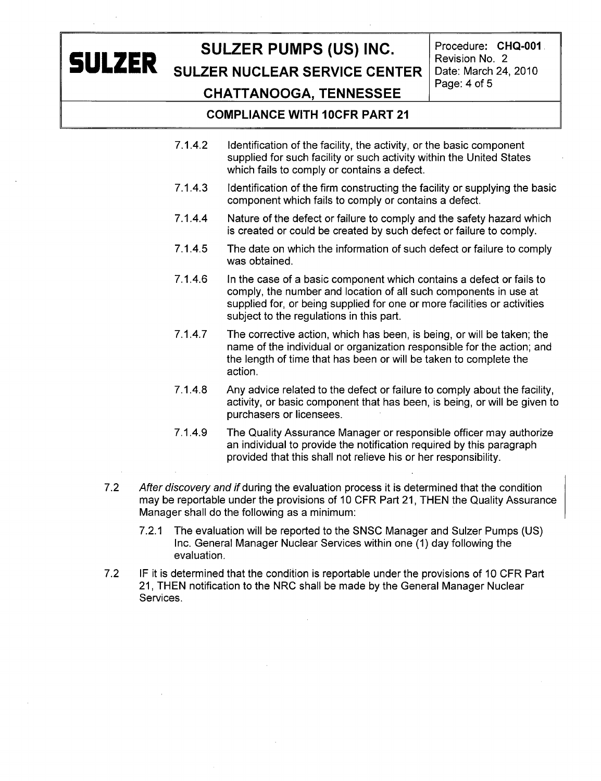# **SULZER**

## SULZER **PUMPS (US) INC.** Procedure: **CHQ-001**

**SULZER NUCLEAR SERVICE CENTER | Date: March 24, 2010 CHATTANOOGA, TENNESSEE** Page: 4 of **<sup>5</sup>**

Revision No. 2

- **COMPLIANCE** WITH 10CFR PART 21
- 7.1.4.2 Identification of the facility, the activity, or the basic component supplied for such facility or such activity within the United States which fails to comply or contains a defect.
- 7.1.4.3 Identification of the firm constructing the facility or supplying the basic component which fails to comply or contains a defect.
- 7.1.4.4 Nature of the defect or failure to comply and the safety hazard which is created or could be created by such defect or failure to comply.
- 7.1.4.5 The date on which the information of such defect or failure to comply was obtained.
- 7.1.4.6 In the case of a basic component which contains a defect or fails to comply, the number and location of all such components in use at supplied for, or being supplied for one or more facilities or activities subject to the regulations in this part.
- 7.1.4.7 The corrective action, which has been, is being, or will be taken; the name of the individual or organization responsible for the action; and the length of time that has been or will be taken to complete the action.
- 7.1.4.8 Any advice related to the defect or failure to comply about the facility, activity, or basic component that has been, is being, or will be given to purchasers or licensees.
- 7.1.4.9 The Quality Assurance Manager or responsible officer may authorize an individual to provide the notification required by this paragraph provided that this shall not relieve his or her responsibility.
- 7.2 *After discovery and* if during the evaluation process it is determined that the condition may be reportable under the provisions of 10 CFR Part 21, THEN the Quality Assurance Manager shall do the following as a minimum:
	- 7.2.1 The evaluation will be reported to the SNSC Manager and Sulzer Pumps (US) Inc. General Manager Nuclear Services within one (1) day following the evaluation.
- 7.2 IF it is determined that the condition is reportable under the provisions of 10 CFR Part 21, THEN notification to the NRC shall be made by the General Manager Nuclear Services.